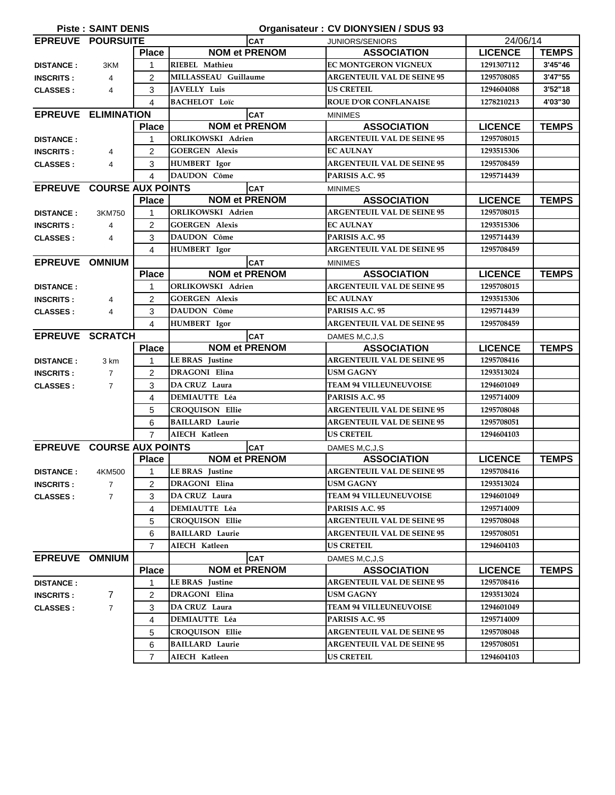| Organisateur : CV DIONYSIEN / SDUS 93<br><b>Piste: SAINT DENIS</b> |                                         |                |                          |               |                                   |                |              |  |  |
|--------------------------------------------------------------------|-----------------------------------------|----------------|--------------------------|---------------|-----------------------------------|----------------|--------------|--|--|
| <b>EPREUVE POURSUITE</b>                                           |                                         |                | <b>CAT</b>               |               | <b>JUNIORS/SENIORS</b>            | 24/06/14       |              |  |  |
|                                                                    |                                         | <b>Place</b>   | <b>NOM et PRENOM</b>     |               | <b>ASSOCIATION</b>                | <b>LICENCE</b> | <b>TEMPS</b> |  |  |
| <b>DISTANCE:</b>                                                   | 3KM                                     | 1              | RIEBEL Mathieu           |               | <b>EC MONTGERON VIGNEUX</b>       | 1291307112     | 3'45"46      |  |  |
| <b>INSCRITS:</b>                                                   | $\overline{4}$                          | 2              | MILLASSEAU Guillaume     |               | <b>ARGENTEUIL VAL DE SEINE 95</b> | 1295708085     | 3'47"55      |  |  |
| <b>CLASSES:</b>                                                    | 4                                       | 3              | <b>JAVELLY Luis</b>      |               | <b>US CRETEIL</b>                 | 1294604088     | 3'52"18      |  |  |
|                                                                    |                                         | 4              | <b>BACHELOT Loïc</b>     |               | <b>ROUE D'OR CONFLANAISE</b>      | 1278210213     | 4'03"30      |  |  |
| <b>EPREUVE ELIMINATION</b>                                         |                                         |                | <b>CAT</b>               |               | <b>MINIMES</b>                    |                |              |  |  |
|                                                                    |                                         | <b>Place</b>   | <b>NOM et PRENOM</b>     |               | <b>ASSOCIATION</b>                | <b>LICENCE</b> | <b>TEMPS</b> |  |  |
| <b>DISTANCE:</b>                                                   |                                         | 1              | ORLIKOWSKI Adrien        |               | <b>ARGENTEUIL VAL DE SEINE 95</b> | 1295708015     |              |  |  |
| <b>INSCRITS:</b>                                                   | $\overline{4}$                          | $\overline{2}$ | <b>GOERGEN Alexis</b>    |               | <b>EC AULNAY</b>                  | 1293515306     |              |  |  |
| <b>CLASSES:</b>                                                    | $\overline{4}$                          | 3              | HUMBERT Igor             |               | <b>ARGENTEUIL VAL DE SEINE 95</b> | 1295708459     |              |  |  |
|                                                                    |                                         | 4              | <b>DAUDON Côme</b>       |               | PARISIS A.C. 95                   | 1295714439     |              |  |  |
| <b>EPREUVE COURSE AUX POINTS</b>                                   |                                         |                |                          | <b>CAT</b>    | <b>MINIMES</b>                    |                |              |  |  |
|                                                                    |                                         | <b>Place</b>   | <b>NOM et PRENOM</b>     |               | <b>ASSOCIATION</b>                | <b>LICENCE</b> | <b>TEMPS</b> |  |  |
| <b>DISTANCE:</b>                                                   | 3KM750                                  | 1              | <b>ORLIKOWSKI Adrien</b> |               | <b>ARGENTEUIL VAL DE SEINE 95</b> | 1295708015     |              |  |  |
| <b>INSCRITS:</b>                                                   | $\overline{4}$                          | $\overline{2}$ | <b>GOERGEN Alexis</b>    |               | <b>EC AULNAY</b>                  | 1293515306     |              |  |  |
| <b>CLASSES:</b>                                                    | $\overline{4}$                          | 3              | DAUDON Côme              |               | PARISIS A.C. 95                   | 1295714439     |              |  |  |
|                                                                    |                                         | 4              | HUMBERT Igor             |               | <b>ARGENTEUIL VAL DE SEINE 95</b> | 1295708459     |              |  |  |
| EPREUVE OMNIUM                                                     |                                         |                |                          | <b>CAT</b>    | <b>MINIMES</b>                    |                |              |  |  |
|                                                                    |                                         | <b>Place</b>   | <b>NOM et PRENOM</b>     |               | <b>ASSOCIATION</b>                | <b>LICENCE</b> | <b>TEMPS</b> |  |  |
| <b>DISTANCE:</b>                                                   |                                         | 1              | <b>ORLIKOWSKI Adrien</b> |               | <b>ARGENTEUIL VAL DE SEINE 95</b> | 1295708015     |              |  |  |
| <b>INSCRITS:</b>                                                   | 4                                       | 2              | <b>GOERGEN Alexis</b>    |               | <b>EC AULNAY</b>                  | 1293515306     |              |  |  |
| <b>CLASSES:</b>                                                    | 4                                       | 3              | <b>DAUDON Côme</b>       |               | PARISIS A.C. 95                   | 1295714439     |              |  |  |
|                                                                    |                                         | 4              | <b>HUMBERT</b> Igor      |               | <b>ARGENTEUIL VAL DE SEINE 95</b> | 1295708459     |              |  |  |
| <b>EPREUVE SCRATCH</b>                                             |                                         |                |                          | <b>CAT</b>    | DAMES M,C,J,S                     |                |              |  |  |
|                                                                    |                                         | <b>Place</b>   | <b>NOM et PRENOM</b>     |               | <b>ASSOCIATION</b>                | <b>LICENCE</b> | <b>TEMPS</b> |  |  |
| <b>DISTANCE:</b>                                                   | 3 km                                    | 1              | <b>LE BRAS</b> Justine   |               | <b>ARGENTEUIL VAL DE SEINE 95</b> | 1295708416     |              |  |  |
| <b>INSCRITS:</b>                                                   | $\overline{7}$                          | $\overline{2}$ | DRAGONI Elina            |               | <b>USM GAGNY</b>                  | 1293513024     |              |  |  |
| <b>CLASSES:</b>                                                    | $\overline{7}$                          | 3              | DA CRUZ Laura            |               | <b>TEAM 94 VILLEUNEUVOISE</b>     | 1294601049     |              |  |  |
|                                                                    |                                         | 4              | <b>DEMIAUTTE Léa</b>     |               | PARISIS A.C. 95                   | 1295714009     |              |  |  |
|                                                                    |                                         | 5              | <b>CROQUISON Ellie</b>   |               | <b>ARGENTEUIL VAL DE SEINE 95</b> | 1295708048     |              |  |  |
|                                                                    |                                         | 6              | <b>BAILLARD Laurie</b>   |               | <b>ARGENTEUIL VAL DE SEINE 95</b> | 1295708051     |              |  |  |
|                                                                    |                                         | 7              | <b>AIECH Katleen</b>     |               | <b>US CRETEIL</b>                 | 1294604103     |              |  |  |
|                                                                    | EPREUVE COURSE AUX POINTS<br><b>CAT</b> |                |                          | DAMES M,C,J,S |                                   |                |              |  |  |
|                                                                    |                                         | <b>Place</b>   | <b>NOM et PRENOM</b>     |               | <b>ASSOCIATION</b>                | <b>LICENCE</b> | <b>TEMPS</b> |  |  |
| <b>DISTANCE:</b>                                                   | 4KM500                                  | 1              | LE BRAS Justine          |               | <b>ARGENTEUIL VAL DE SEINE 95</b> | 1295708416     |              |  |  |
| <b>INSCRITS:</b>                                                   | $\overline{7}$                          | $\overline{2}$ | <b>DRAGONI</b> Elina     |               | <b>USM GAGNY</b>                  | 1293513024     |              |  |  |
| <b>CLASSES:</b>                                                    | $\overline{7}$                          | 3              | DA CRUZ Laura            |               | <b>TEAM 94 VILLEUNEUVOISE</b>     | 1294601049     |              |  |  |
|                                                                    |                                         | 4              | <b>DEMIAUTTE Léa</b>     |               | PARISIS A.C. 95                   | 1295714009     |              |  |  |
|                                                                    |                                         | 5              | <b>CROQUISON Ellie</b>   |               | <b>ARGENTEUIL VAL DE SEINE 95</b> | 1295708048     |              |  |  |
|                                                                    |                                         | 6              | <b>BAILLARD Laurie</b>   |               | <b>ARGENTEUIL VAL DE SEINE 95</b> | 1295708051     |              |  |  |
|                                                                    |                                         | $\overline{7}$ | AIECH Katleen            |               | <b>US CRETEIL</b>                 | 1294604103     |              |  |  |
| EPREUVE OMNIUM                                                     |                                         |                |                          | <b>CAT</b>    | DAMES M.C.J.S                     |                |              |  |  |
|                                                                    |                                         | <b>Place</b>   | <b>NOM et PRENOM</b>     |               | <b>ASSOCIATION</b>                | <b>LICENCE</b> | <b>TEMPS</b> |  |  |
| <b>DISTANCE:</b>                                                   |                                         | 1              | LE BRAS Justine          |               | <b>ARGENTEUIL VAL DE SEINE 95</b> | 1295708416     |              |  |  |
| <b>INSCRITS:</b>                                                   | 7                                       | 2              | DRAGONI Elina            |               | USM GAGNY                         | 1293513024     |              |  |  |
| <b>CLASSES:</b>                                                    | $\overline{7}$                          | 3              | DA CRUZ Laura            |               | <b>TEAM 94 VILLEUNEUVOISE</b>     | 1294601049     |              |  |  |
|                                                                    |                                         | 4              | <b>DEMIAUTTE Léa</b>     |               | PARISIS A.C. 95                   | 1295714009     |              |  |  |
|                                                                    |                                         | 5              | <b>CROQUISON Ellie</b>   |               | <b>ARGENTEUIL VAL DE SEINE 95</b> | 1295708048     |              |  |  |
|                                                                    |                                         | 6              | <b>BAILLARD Laurie</b>   |               | <b>ARGENTEUIL VAL DE SEINE 95</b> | 1295708051     |              |  |  |
|                                                                    |                                         | $\overline{7}$ | AIECH Katleen            |               | <b>US CRETEIL</b>                 | 1294604103     |              |  |  |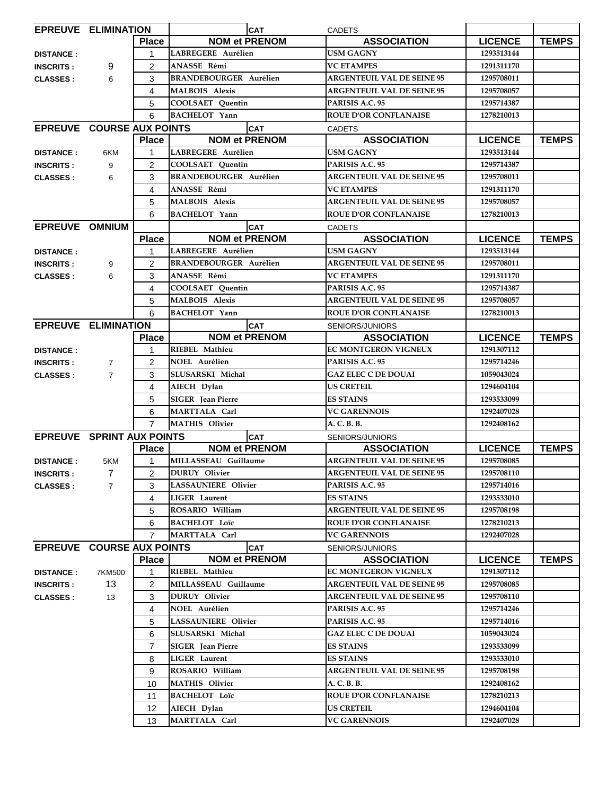| <b>EPREUVE ELIMINATION</b>       |                |                |                               | <b>CAT</b>                        | <b>CADETS</b>     |                                   |                |                                   |            |  |
|----------------------------------|----------------|----------------|-------------------------------|-----------------------------------|-------------------|-----------------------------------|----------------|-----------------------------------|------------|--|
|                                  |                | <b>Place</b>   |                               | <b>NOM et PRENOM</b>              |                   | <b>ASSOCIATION</b>                | <b>LICENCE</b> | <b>TEMPS</b>                      |            |  |
| <b>DISTANCE:</b>                 |                | $\mathbf{1}$   | LABREGERE Aurélien            |                                   | <b>USM GAGNY</b>  |                                   | 1293513144     |                                   |            |  |
| <b>INSCRITS:</b>                 | 9              | 2              | ANASSE Rémi                   |                                   | <b>VC ETAMPES</b> |                                   | 1291311170     |                                   |            |  |
| <b>CLASSES:</b>                  | 6              | 3              | <b>BRANDEBOURGER Aurélien</b> |                                   |                   | <b>ARGENTEUIL VAL DE SEINE 95</b> | 1295708011     |                                   |            |  |
|                                  |                | 4              | <b>MALBOIS Alexis</b>         |                                   |                   | <b>ARGENTEUIL VAL DE SEINE 95</b> | 1295708057     |                                   |            |  |
|                                  |                | 5              | <b>COOLSAET</b> Quentin       |                                   |                   | PARISIS A.C. 95                   | 1295714387     |                                   |            |  |
|                                  |                | 6              | <b>BACHELOT</b> Yann          |                                   |                   | <b>ROUE D'OR CONFLANAISE</b>      | 1278210013     |                                   |            |  |
| <b>EPREUVE COURSE AUX POINTS</b> |                |                | <b>CAT</b>                    |                                   | <b>CADETS</b>     |                                   |                |                                   |            |  |
|                                  |                | <b>Place</b>   |                               | <b>NOM et PRENOM</b>              |                   | <b>ASSOCIATION</b>                | <b>LICENCE</b> | <b>TEMPS</b>                      |            |  |
| <b>DISTANCE:</b>                 | 6KM            | $\mathbf{1}$   | LABREGERE Aurélien            |                                   | <b>USM GAGNY</b>  |                                   | 1293513144     |                                   |            |  |
| <b>INSCRITS:</b>                 | 9              | 2              | <b>COOLSAET</b> Ouentin       |                                   |                   | <b>PARISIS A.C. 95</b>            | 1295714387     |                                   |            |  |
| <b>CLASSES:</b>                  | 6              | 3              | <b>BRANDEBOURGER Aurélien</b> |                                   |                   | <b>ARGENTEUIL VAL DE SEINE 95</b> | 1295708011     |                                   |            |  |
|                                  |                | 4              | ANASSE Rémi                   |                                   | <b>VC ETAMPES</b> |                                   | 1291311170     |                                   |            |  |
|                                  |                | 5              | <b>MALBOIS Alexis</b>         |                                   |                   | <b>ARGENTEUIL VAL DE SEINE 95</b> | 1295708057     |                                   |            |  |
|                                  |                | 6              | <b>BACHELOT</b> Yann          |                                   |                   | <b>ROUE D'OR CONFLANAISE</b>      | 1278210013     |                                   |            |  |
| EPREUVE OMNIUM                   |                |                |                               | <b>CAT</b>                        | <b>CADETS</b>     |                                   |                |                                   |            |  |
|                                  |                | <b>Place</b>   |                               | <b>NOM et PRENOM</b>              |                   | <b>ASSOCIATION</b>                | <b>LICENCE</b> | <b>TEMPS</b>                      |            |  |
| <b>DISTANCE:</b>                 |                | 1              | LABREGERE Aurélien            |                                   | <b>USM GAGNY</b>  |                                   | 1293513144     |                                   |            |  |
| <b>INSCRITS:</b>                 | 9              | $\overline{2}$ | <b>BRANDEBOURGER Aurélien</b> |                                   |                   | <b>ARGENTEUIL VAL DE SEINE 95</b> | 1295708011     |                                   |            |  |
| <b>CLASSES:</b>                  | 6              | 3              | ANASSE Rémi                   |                                   | <b>VC ETAMPES</b> |                                   | 1291311170     |                                   |            |  |
|                                  |                | 4              | <b>COOLSAET</b> Quentin       |                                   |                   | PARISIS A.C. 95                   | 1295714387     |                                   |            |  |
|                                  |                | 5              | <b>MALBOIS Alexis</b>         |                                   |                   | <b>ARGENTEUIL VAL DE SEINE 95</b> | 1295708057     |                                   |            |  |
|                                  |                | 6              | <b>BACHELOT</b> Yann          |                                   |                   | <b>ROUE D'OR CONFLANAISE</b>      | 1278210013     |                                   |            |  |
| <b>EPREUVE ELIMINATION</b>       |                |                |                               | <b>CAT</b>                        |                   | <b>SENIORS/JUNIORS</b>            |                |                                   |            |  |
|                                  |                | <b>Place</b>   |                               | <b>NOM et PRENOM</b>              |                   | <b>ASSOCIATION</b>                | <b>LICENCE</b> | <b>TEMPS</b>                      |            |  |
| <b>DISTANCE:</b>                 |                | 1              | RIEBEL Mathieu                |                                   |                   | <b>EC MONTGERON VIGNEUX</b>       | 1291307112     |                                   |            |  |
| <b>INSCRITS:</b>                 | $\overline{7}$ | $\overline{2}$ | NOEL Aurélien                 |                                   |                   | PARISIS A.C. 95                   | 1295714246     |                                   |            |  |
| <b>CLASSES:</b>                  | $\overline{7}$ | 3              | SLUSARSKI Michal              |                                   |                   | <b>GAZ ELEC C DE DOUAI</b>        | 1059043024     |                                   |            |  |
|                                  |                | $\overline{4}$ | AIECH Dylan                   |                                   | <b>US CRETEIL</b> |                                   | 1294604104     |                                   |            |  |
|                                  |                | 5              | <b>SIGER</b> Jean Pierre      |                                   | <b>ES STAINS</b>  |                                   | 1293533099     |                                   |            |  |
|                                  |                | 6              | MARTTALA Carl                 |                                   |                   |                                   |                | <b>VC GARENNOIS</b>               | 1292407028 |  |
|                                  |                | $\overline{7}$ | <b>MATHIS Olivier</b>         |                                   |                   | A. C. B. B.                       |                | 1292408162                        |            |  |
| <b>EPREUVE SPRINT AUX POINTS</b> |                |                |                               | <b>CAT</b>                        |                   | SENIORS/JUNIORS                   |                |                                   |            |  |
|                                  |                | <b>Place</b>   |                               | <b>NOM et PRENOM</b>              |                   | <b>ASSOCIATION</b>                | <b>LICENCE</b> | <b>TEMPS</b>                      |            |  |
| <b>DISTANCE:</b>                 | 5KM            | 1              | MILLASSEAU Guillaume          |                                   |                   | <b>ARGENTEUIL VAL DE SEINE 95</b> | 1295708085     |                                   |            |  |
| <b>INSCRITS:</b>                 | 7              | $\overline{2}$ | <b>DURUY</b> Olivier          | <b>ARGENTEUIL VAL DE SEINE 95</b> |                   | 1295708110                        |                |                                   |            |  |
| <b>CLASSES:</b>                  | $\overline{7}$ | 3              | LASSAUNIERE Olivier           |                                   |                   | PARISIS A.C. 95                   | 1295714016     |                                   |            |  |
|                                  |                | 4              | <b>LIGER</b> Laurent          |                                   | <b>ES STAINS</b>  |                                   | 1293533010     |                                   |            |  |
|                                  |                | 5              | ROSARIO William               |                                   |                   | <b>ARGENTEUIL VAL DE SEINE 95</b> | 1295708198     |                                   |            |  |
|                                  |                | 6              | <b>BACHELOT Loïc</b>          |                                   |                   | <b>ROUE D'OR CONFLANAISE</b>      | 1278210213     |                                   |            |  |
|                                  |                | $\overline{7}$ | MARTTALA Carl                 |                                   |                   | <b>VC GARENNOIS</b>               | 1292407028     |                                   |            |  |
| <b>EPREUVE COURSE AUX POINTS</b> |                |                |                               | <b>CAT</b>                        |                   | SENIORS/JUNIORS                   |                |                                   |            |  |
|                                  |                | <b>Place</b>   |                               | <b>NOM et PRENOM</b>              |                   | <b>ASSOCIATION</b>                | <b>LICENCE</b> | <b>TEMPS</b>                      |            |  |
| <b>DISTANCE:</b>                 | 7KM500         | 1              | RIEBEL Mathieu                |                                   |                   | EC MONTGERON VIGNEUX              | 1291307112     |                                   |            |  |
| <b>INSCRITS:</b>                 | 13             | $\overline{a}$ | MILLASSEAU Guillaume          |                                   |                   |                                   |                | <b>ARGENTEUIL VAL DE SEINE 95</b> | 1295708085 |  |
| <b>CLASSES:</b>                  | 13             | 3              | <b>DURUY</b> Olivier          |                                   |                   |                                   |                | <b>ARGENTEUIL VAL DE SEINE 95</b> | 1295708110 |  |
|                                  |                | 4              | NOEL Aurélien                 |                                   |                   | PARISIS A.C. 95                   | 1295714246     |                                   |            |  |
|                                  |                | 5              | <b>LASSAUNIERE Olivier</b>    |                                   |                   | PARISIS A.C. 95                   | 1295714016     |                                   |            |  |
|                                  |                | 6              | SLUSARSKI Michal              |                                   |                   | GAZ ELEC C DE DOUAI               | 1059043024     |                                   |            |  |
|                                  |                | $\overline{7}$ | <b>SIGER</b> Jean Pierre      |                                   | <b>ES STAINS</b>  |                                   | 1293533099     |                                   |            |  |
|                                  |                | 8              | LIGER Laurent                 |                                   | <b>ES STAINS</b>  |                                   | 1293533010     |                                   |            |  |
|                                  |                | 9              | ROSARIO William               |                                   |                   | <b>ARGENTEUIL VAL DE SEINE 95</b> | 1295708198     |                                   |            |  |
|                                  |                | 10             | <b>MATHIS Olivier</b>         |                                   | A. C. B. B.       |                                   | 1292408162     |                                   |            |  |
|                                  |                | 11             | <b>BACHELOT Loïc</b>          |                                   |                   | <b>ROUE D'OR CONFLANAISE</b>      | 1278210213     |                                   |            |  |
|                                  |                | 12             | AIECH Dylan                   |                                   | <b>US CRETEIL</b> |                                   | 1294604104     |                                   |            |  |
|                                  |                | 13             | MARTTALA Carl                 |                                   |                   | <b>VC GARENNOIS</b>               | 1292407028     |                                   |            |  |
|                                  |                |                |                               |                                   |                   |                                   |                |                                   |            |  |